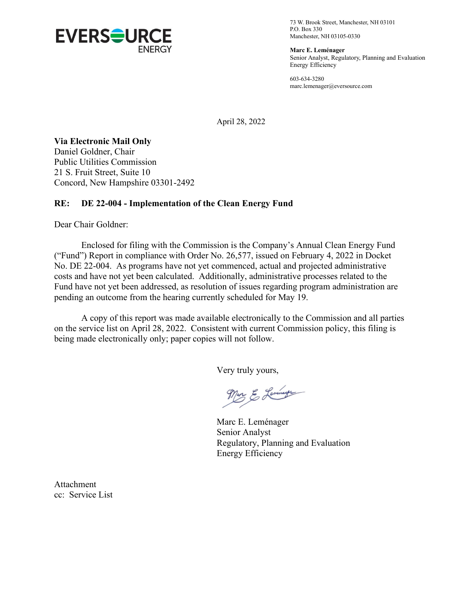

73 W. Brook Street, Manchester, NH 03101 P.O. Box 330 Manchester, NH 03105-0330

**Marc E. Leménager** Senior Analyst, Regulatory, Planning and Evaluation Energy Efficiency

603-634-3280 marc.lemenager@eversource.com

April 28, 2022

**Via Electronic Mail Only**

Daniel Goldner, Chair Public Utilities Commission 21 S. Fruit Street, Suite 10 Concord, New Hampshire 03301-2492

# **RE: DE 22-004 - Implementation of the Clean Energy Fund**

Dear Chair Goldner:

Enclosed for filing with the Commission is the Company's Annual Clean Energy Fund ("Fund") Report in compliance with Order No. 26,577, issued on February 4, 2022 in Docket No. DE 22-004. As programs have not yet commenced, actual and projected administrative costs and have not yet been calculated. Additionally, administrative processes related to the Fund have not yet been addressed, as resolution of issues regarding program administration are pending an outcome from the hearing currently scheduled for May 19.

A copy of this report was made available electronically to the Commission and all parties on the service list on April 28, 2022. Consistent with current Commission policy, this filing is being made electronically only; paper copies will not follow.

Very truly yours,

Mar & Lemmer

Marc E. Leménager Senior Analyst Regulatory, Planning and Evaluation Energy Efficiency

Attachment cc: Service List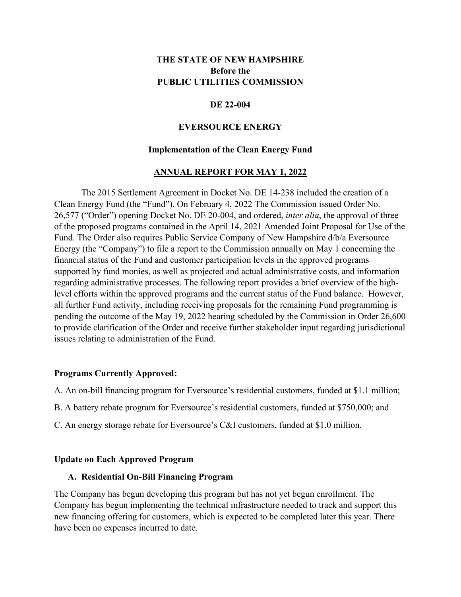# **THE STATE OF NEW HAMPSHIRE Before the PUBLIC UTILITIES COMMISSION**

### **DE 22-004**

### **EVERSOURCE ENERGY**

### **Implementation of the Clean Energy Fund**

### **ANNUAL REPORT FOR MAY 1, 2022**

The 2015 Settlement Agreement in Docket No. DE 14-238 included the creation of a Clean Energy Fund (the "Fund"). On February 4, 2022 The Commission issued Order No. 26,577 ("Order") opening Docket No. DE 20-004, and ordered, *inter alia*, the approval of three of the proposed programs contained in the April 14, 2021 Amended Joint Proposal for Use of the Fund. The Order also requires Public Service Company of New Hampshire d/b/a Eversource Energy (the "Company") to file a report to the Commission annually on May 1 concerning the financial status of the Fund and customer participation levels in the approved programs supported by fund monies, as well as projected and actual administrative costs, and information regarding administrative processes. The following report provides a brief overview of the highlevel efforts within the approved programs and the current status of the Fund balance. However, all further Fund activity, including receiving proposals for the remaining Fund programming is pending the outcome of the May 19, 2022 hearing scheduled by the Commission in Order 26,600 to provide clarification of the Order and receive further stakeholder input regarding jurisdictional issues relating to administration of the Fund.

### **Programs Currently Approved:**

- A. An on-bill financing program for Eversource's residential customers, funded at \$1.1 million;
- B. A battery rebate program for Eversource's residential customers, funded at \$750,000; and
- C. An energy storage rebate for Eversource's C&I customers, funded at \$1.0 million.

#### **Update on Each Approved Program**

#### **A. Residential On-Bill Financing Program**

The Company has begun developing this program but has not yet begun enrollment. The Company has begun implementing the technical infrastructure needed to track and support this new financing offering for customers, which is expected to be completed later this year. There have been no expenses incurred to date.